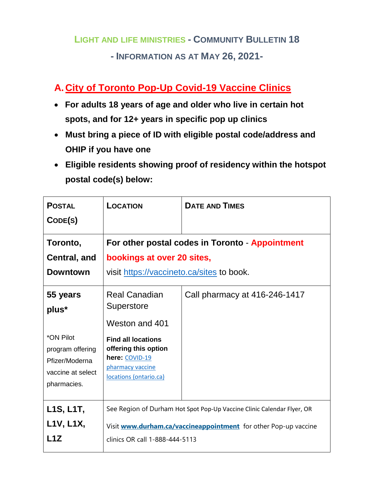# **LIGHT AND LIFE MINISTRIES - COMMUNITY BULLETIN 18 - INFORMATION AS AT MAY 26, 2021-**

## **A.City of Toronto Pop-Up Covid-19 Vaccine Clinics**

- **For adults 18 years of age and older who live in certain hot spots, and for 12+ years in specific pop up clinics**
- **Must bring a piece of ID with eligible postal code/address and OHIP if you have one**
- **Eligible residents showing proof of residency within the hotspot postal code(s) below:**

| <b>POSTAL</b>                                                                       | LOCATION                                                                                                                                  | <b>DATE AND TIMES</b>         |
|-------------------------------------------------------------------------------------|-------------------------------------------------------------------------------------------------------------------------------------------|-------------------------------|
| CODE(S)                                                                             |                                                                                                                                           |                               |
| Toronto,<br>Central, and                                                            | For other postal codes in Toronto - Appointment<br>bookings at over 20 sites,                                                             |                               |
| <b>Downtown</b>                                                                     | visit https://vaccineto.ca/sites to book.                                                                                                 |                               |
| 55 years<br>plus*                                                                   | <b>Real Canadian</b><br>Superstore<br>Weston and 401                                                                                      | Call pharmacy at 416-246-1417 |
| *ON Pilot<br>program offering<br>Pfizer/Moderna<br>vaccine at select<br>pharmacies. | <b>Find all locations</b><br>offering this option<br>here: COVID-19<br>pharmacy vaccine<br>locations (ontario.ca)                         |                               |
| L1S, L1T,<br><b>L1V, L1X,</b>                                                       | See Region of Durham Hot Spot Pop-Up Vaccine Clinic Calendar Flyer, OR<br>Visit www.durham.ca/vaccineappointment for other Pop-up vaccine |                               |
| L1Z                                                                                 | clinics OR call 1-888-444-5113                                                                                                            |                               |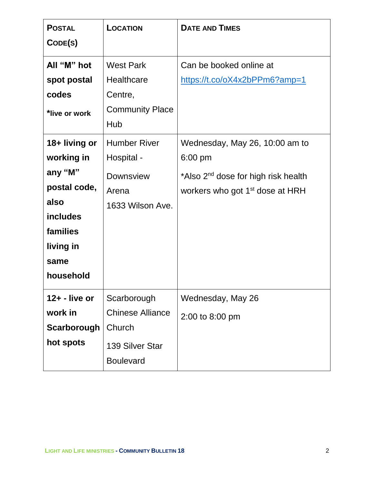| <b>POSTAL</b>    | LOCATION                | <b>DATE AND TIMES</b>                           |
|------------------|-------------------------|-------------------------------------------------|
| CODE(S)          |                         |                                                 |
| All "M" hot      | <b>West Park</b>        | Can be booked online at                         |
| spot postal      | Healthcare              | https://t.co/oX4x2bPPm6?amp=1                   |
| codes            | Centre,                 |                                                 |
| *live or work    | <b>Community Place</b>  |                                                 |
|                  | Hub                     |                                                 |
| 18+ living or    | <b>Humber River</b>     | Wednesday, May 26, 10:00 am to                  |
| working in       | Hospital -              | 6:00 pm                                         |
| any "M"          | <b>Downsview</b>        | *Also 2 <sup>nd</sup> dose for high risk health |
| postal code,     | Arena                   | workers who got 1 <sup>st</sup> dose at HRH     |
| also             | 1633 Wilson Ave.        |                                                 |
| <b>includes</b>  |                         |                                                 |
| families         |                         |                                                 |
| living in        |                         |                                                 |
| same             |                         |                                                 |
| household        |                         |                                                 |
| $12 + -$ live or | Scarborough             | Wednesday, May 26                               |
| work in          | <b>Chinese Alliance</b> | 2:00 to 8:00 pm                                 |
| Scarborough      | Church                  |                                                 |
| hot spots        | 139 Silver Star         |                                                 |
|                  | <b>Boulevard</b>        |                                                 |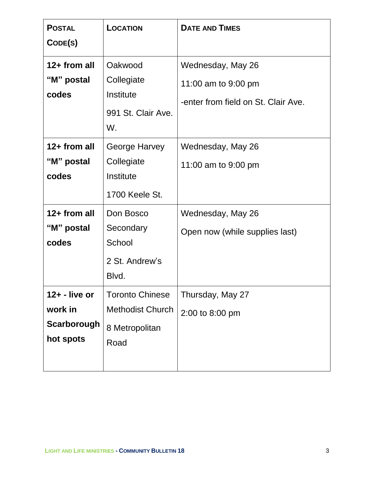| <b>POSTAL</b><br>CODE(S)                                | <b>LOCATION</b>                                                             | <b>DATE AND TIMES</b>                                                           |
|---------------------------------------------------------|-----------------------------------------------------------------------------|---------------------------------------------------------------------------------|
| 12+ from all<br>"M" postal<br>codes                     | Oakwood<br>Collegiate<br>Institute<br>991 St. Clair Ave.<br>W.              | Wednesday, May 26<br>11:00 am to 9:00 pm<br>-enter from field on St. Clair Ave. |
| $12+$ from all<br>"M" postal<br>codes                   | George Harvey<br>Collegiate<br>Institute<br>1700 Keele St.                  | Wednesday, May 26<br>11:00 am to 9:00 pm                                        |
| $12+$ from all<br>"M" postal<br>codes                   | Don Bosco<br>Secondary<br>School<br>2 St. Andrew's<br>Blvd.                 | Wednesday, May 26<br>Open now (while supplies last)                             |
| $12 + -$ live or<br>work in<br>Scarborough<br>hot spots | <b>Toronto Chinese</b><br><b>Methodist Church</b><br>8 Metropolitan<br>Road | Thursday, May 27<br>2:00 to 8:00 pm                                             |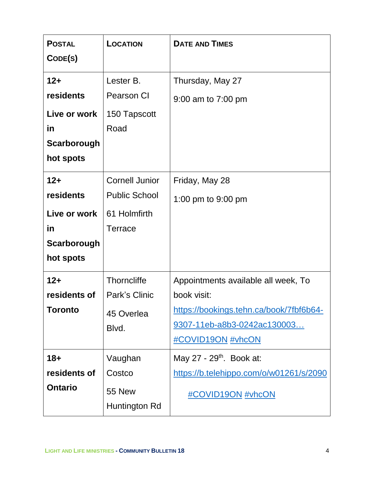| <b>POSTAL</b><br>CODE(S)                                              | LOCATION                                                                 | <b>DATE AND TIMES</b>                                                                                                                             |
|-----------------------------------------------------------------------|--------------------------------------------------------------------------|---------------------------------------------------------------------------------------------------------------------------------------------------|
| $12+$<br>residents<br>Live or work<br>in<br>Scarborough<br>hot spots  | Lester B.<br><b>Pearson CI</b><br>150 Tapscott<br>Road                   | Thursday, May 27<br>9:00 am to 7:00 pm                                                                                                            |
| $12 +$<br>residents<br>Live or work<br>in<br>Scarborough<br>hot spots | <b>Cornell Junior</b><br><b>Public School</b><br>61 Holmfirth<br>Terrace | Friday, May 28<br>1:00 pm to 9:00 pm                                                                                                              |
| $12+$<br>residents of<br>Toronto                                      | <b>Thorncliffe</b><br>Park's Clinic<br>45 Overlea<br>Blvd.               | Appointments available all week, To<br>book visit:<br>https://bookings.tehn.ca/book/7fbf6b64-<br>9307-11eb-a8b3-0242ac130003<br>#COVID19ON #vhcON |
| $18 +$<br>residents of<br><b>Ontario</b>                              | Vaughan<br>Costco<br><b>55 New</b><br>Huntington Rd                      | May 27 - $29th$ . Book at:<br>https://b.telehippo.com/o/w01261/s/2090<br>#COVID19ON #vhcON                                                        |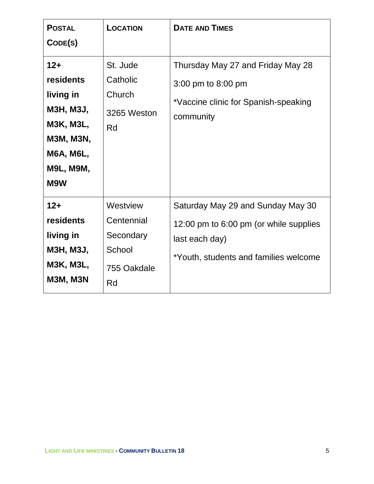| <b>POSTAL</b>                                                                                                                              | LOCATION                                                           | <b>DATE AND TIMES</b>                                                                                                                  |
|--------------------------------------------------------------------------------------------------------------------------------------------|--------------------------------------------------------------------|----------------------------------------------------------------------------------------------------------------------------------------|
| CODE(S)                                                                                                                                    |                                                                    |                                                                                                                                        |
| $12+$<br>residents<br>living in<br><b>M3H, M3J,</b><br><b>M3K, M3L,</b><br><b>M3M, M3N,</b><br><b>M6A, M6L,</b><br><b>M9L, M9M,</b><br>M9W | St. Jude<br>Catholic<br>Church<br>3265 Weston<br>Rd                | Thursday May 27 and Friday May 28<br>3:00 pm to 8:00 pm<br>*Vaccine clinic for Spanish-speaking<br>community                           |
| $12+$<br>residents<br>living in<br><b>M3H, M3J,</b><br><b>M3K, M3L,</b><br><b>M3M, M3N</b>                                                 | Westview<br>Centennial<br>Secondary<br>School<br>755 Oakdale<br>Rd | Saturday May 29 and Sunday May 30<br>12:00 pm to 6:00 pm (or while supplies<br>last each day)<br>*Youth, students and families welcome |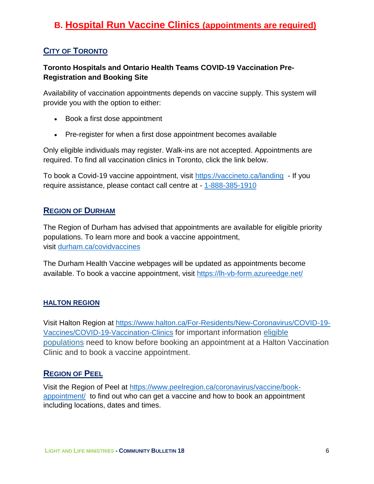## **B. Hospital Run Vaccine Clinics (appointments are required)**

#### **CITY OF TORONTO**

#### **Toronto Hospitals and Ontario Health Teams COVID-19 Vaccination Pre-Registration and Booking Site**

Availability of vaccination appointments depends on vaccine supply. This system will provide you with the option to either:

- Book a first dose appointment
- Pre-register for when a first dose appointment becomes available

Only eligible individuals may register. Walk-ins are not accepted. Appointments are required. To find all vaccination clinics in Toronto, click the link below.

To book a Covid-19 vaccine appointment, visit<https://vaccineto.ca/landing> - If you require assistance, please contact call centre at - [1-888-385-1910](tel:1-888-385-1910)

#### **REGION OF DURHAM**

The Region of Durham has advised that appointments are available for eligible priority populations. To learn more and book a vaccine appointment, visit [durham.ca/covidvaccines](http://www.durham.ca/covidvaccines)

The Durham Health Vaccine webpages will be updated as appointments become available. To book a vaccine appointment, visit<https://lh-vb-form.azureedge.net/>

#### **HALTON REGION**

Visit Halton Region at [https://www.halton.ca/For-Residents/New-Coronavirus/COVID-19-](https://www.halton.ca/For-Residents/New-Coronavirus/COVID-19-Vaccines/COVID-19-Vaccination-Clinics) [Vaccines/COVID-19-Vaccination-Clinics](https://www.halton.ca/For-Residents/New-Coronavirus/COVID-19-Vaccines/COVID-19-Vaccination-Clinics) for important information [eligible](https://www.halton.ca/For-Residents/Immunizations-Preventable-Disease/Diseases-Infections/New-Coronavirus/COVID-19-Vaccines/Who-is-currently-eligible-in-Halton#03)  [populations](https://www.halton.ca/For-Residents/Immunizations-Preventable-Disease/Diseases-Infections/New-Coronavirus/COVID-19-Vaccines/Who-is-currently-eligible-in-Halton#03) need to know before booking an appointment at a Halton Vaccination Clinic and to book a vaccine appointment.

#### **REGION OF PEEL**

Visit the Region of Peel at [https://www.peelregion.ca/coronavirus/vaccine/book](https://www.peelregion.ca/coronavirus/vaccine/book-appointment/)[appointment/](https://www.peelregion.ca/coronavirus/vaccine/book-appointment/) to find out who can get a vaccine and how to book an appointment including locations, dates and times.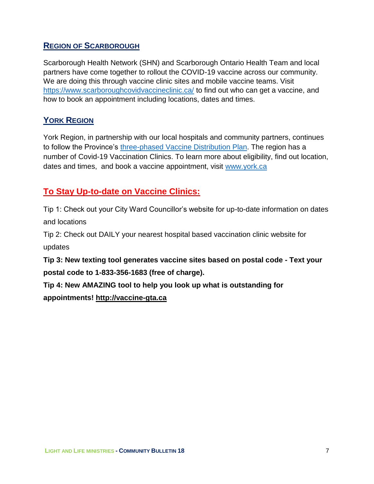#### **REGION OF SCARBOROUGH**

Scarborough Health Network (SHN) and Scarborough Ontario Health Team and local partners have come together to rollout the COVID-19 vaccine across our community. We are doing this through vaccine clinic sites and mobile vaccine teams. Visit <https://www.scarboroughcovidvaccineclinic.ca/> to find out who can get a vaccine, and how to book an appointment including locations, dates and times.

#### **YORK REGION**

York Region, in partnership with our local hospitals and community partners, continues to follow the Province's [three-phased Vaccine Distribution Plan.](https://files.ontario.ca/moh-covid-19-vaccine-distribution-plan-en-2021-02-19.pdf) The region has a number of Covid-19 Vaccination Clinics. To learn more about eligibility, find out location, dates and times, and book a vaccine appointment, visit [www.york.ca](http://www.york.ca/)

### **To Stay Up-to-date on Vaccine Clinics:**

Tip 1: Check out your City Ward Councillor's website for up-to-date information on dates and locations

Tip 2: Check out DAILY your nearest hospital based vaccination clinic website for updates

**Tip 3: New texting tool generates vaccine sites based on postal code - Text your postal code to 1-833-356-1683 (free of charge).**

**Tip 4: New AMAZING tool to help you look up what is outstanding for appointments! [http://vaccine-gta.ca](https://t.co/euzK4YA9hP?amp=1)**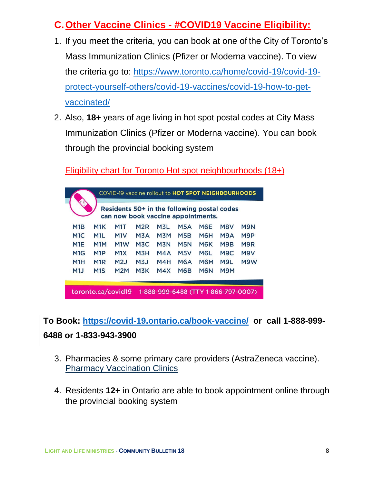## **C.Other Vaccine Clinics - #COVID19 Vaccine Eligibility:**

- 1. If you meet the criteria, you can book at one of the City of Toronto's Mass Immunization Clinics (Pfizer or Moderna vaccine). To view the criteria go to: [https://www.toronto.ca/home/covid-19/covid-19](https://www.toronto.ca/home/covid-19/covid-19-protect-yourself-others/covid-19-vaccines/covid-19-how-to-get-vaccinated/) [protect-yourself-others/covid-19-vaccines/covid-19-how-to-get](https://www.toronto.ca/home/covid-19/covid-19-protect-yourself-others/covid-19-vaccines/covid-19-how-to-get-vaccinated/)[vaccinated/](https://www.toronto.ca/home/covid-19/covid-19-protect-yourself-others/covid-19-vaccines/covid-19-how-to-get-vaccinated/)
- 2. Also, **18+** years of age living in hot spot postal codes at City Mass Immunization Clinics (Pfizer or Moderna vaccine). You can book through the provincial booking system

Eligibility chart for Toronto Hot spot neighbourhoods (18+)



**To Book:<https://covid-19.ontario.ca/book-vaccine/>or call 1-888-999- 6488 or 1-833-943-3900**

- 3. Pharmacies & some primary care providers (AstraZeneca vaccine). Pharmacy [Vaccination](https://covid-19.ontario.ca/vaccine-locations) Clinics
- 4. Residents **12+** in Ontario are able to book appointment online through the provincial booking system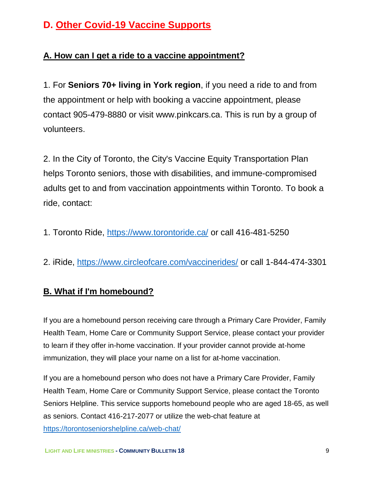## **D. Other Covid-19 Vaccine Supports**

### **A. How can I get a ride to a vaccine appointment?**

1. For **Seniors 70+ living in York region**, if you need a ride to and from the appointment or help with booking a vaccine appointment, please contact 905-479-8880 or visit [www.pinkcars.ca.](http://www.pinkcars.ca/) This is run by a group of volunteers.

2. In the City of Toronto, the City's Vaccine Equity Transportation Plan helps Toronto seniors, those with disabilities, and immune-compromised adults get to and from vaccination appointments within Toronto. To book a ride, contact:

- 1. Toronto Ride, [https://www.torontoride.ca/](https://anthonyperruzza.us2.list-manage.com/track/click?u=dc2624c0d4a736d1d94d13a17&id=c50a6fa94e&e=39fd6a65b8) or call 416-481-5250
- 2. iRide, [https://www.circleofcare.com/vaccinerides/](https://anthonyperruzza.us2.list-manage.com/track/click?u=dc2624c0d4a736d1d94d13a17&id=6a206e787c&e=39fd6a65b8) or call 1-844-474-3301

#### **B. What if I'm homebound?**

If you are a homebound person receiving care through a Primary Care Provider, Family Health Team, Home Care or Community Support Service, please contact your provider to learn if they offer in-home vaccination. If your provider cannot provide at-home immunization, they will place your name on a list for at-home vaccination.

If you are a homebound person who does not have a Primary Care Provider, Family Health Team, Home Care or Community Support Service, please contact the Toronto Seniors Helpline. This service supports homebound people who are aged 18-65, as well as seniors. Contact 416-217-2077 or utilize the web-chat feature at <https://torontoseniorshelpline.ca/web-chat/>